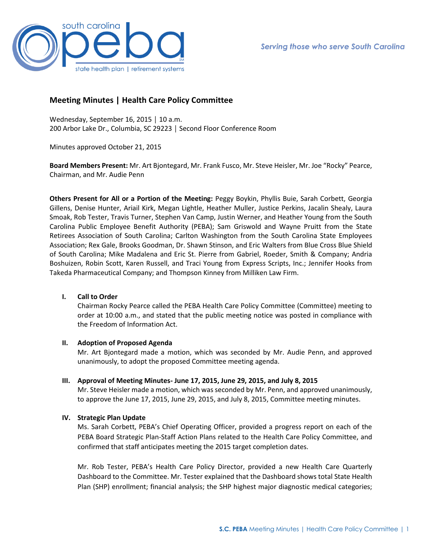

# **Meeting Minutes | Health Care Policy Committee**

Wednesday, September 16, 2015 │ 10 a.m. 200 Arbor Lake Dr., Columbia, SC 29223 │ Second Floor Conference Room

Minutes approved October 21, 2015

**Board Members Present:** Mr. Art Bjontegard, Mr. Frank Fusco, Mr. Steve Heisler, Mr. Joe "Rocky" Pearce, Chairman, and Mr. Audie Penn

**Others Present for All or a Portion of the Meeting:** Peggy Boykin, Phyllis Buie, Sarah Corbett, Georgia Gillens, Denise Hunter, Ariail Kirk, Megan Lightle, Heather Muller, Justice Perkins, Jacalin Shealy, Laura Smoak, Rob Tester, Travis Turner, Stephen Van Camp, Justin Werner, and Heather Young from the South Carolina Public Employee Benefit Authority (PEBA); Sam Griswold and Wayne Pruitt from the State Retirees Association of South Carolina; Carlton Washington from the South Carolina State Employees Association; Rex Gale, Brooks Goodman, Dr. Shawn Stinson, and Eric Walters from Blue Cross Blue Shield of South Carolina; Mike Madalena and Eric St. Pierre from Gabriel, Roeder, Smith & Company; Andria Boshuizen, Robin Scott, Karen Russell, and Traci Young from Express Scripts, Inc.; Jennifer Hooks from Takeda Pharmaceutical Company; and Thompson Kinney from Milliken Law Firm.

# **I. Call to Order**

Chairman Rocky Pearce called the PEBA Health Care Policy Committee (Committee) meeting to order at 10:00 a.m., and stated that the public meeting notice was posted in compliance with the Freedom of Information Act.

# **II. Adoption of Proposed Agenda**

Mr. Art Bjontegard made a motion, which was seconded by Mr. Audie Penn, and approved unanimously, to adopt the proposed Committee meeting agenda.

**III. Approval of Meeting Minutes- June 17, 2015, June 29, 2015, and July 8, 2015**

Mr. Steve Heisler made a motion, which was seconded by Mr. Penn, and approved unanimously, to approve the June 17, 2015, June 29, 2015, and July 8, 2015, Committee meeting minutes.

# **IV. Strategic Plan Update**

Ms. Sarah Corbett, PEBA's Chief Operating Officer, provided a progress report on each of the PEBA Board Strategic Plan-Staff Action Plans related to the Health Care Policy Committee, and confirmed that staff anticipates meeting the 2015 target completion dates.

Mr. Rob Tester, PEBA's Health Care Policy Director, provided a new Health Care Quarterly Dashboard to the Committee. Mr. Tester explained that the Dashboard shows total State Health Plan (SHP) enrollment; financial analysis; the SHP highest major diagnostic medical categories;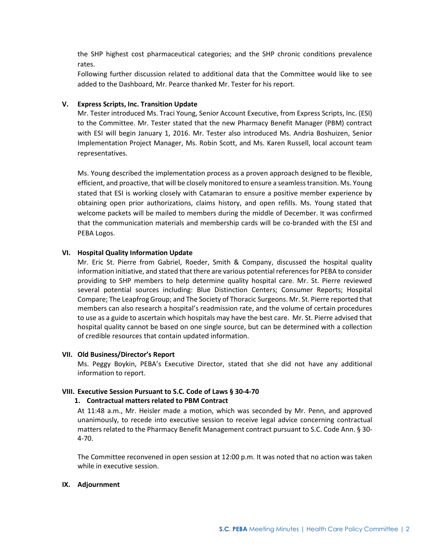the SHP highest cost pharmaceutical categories; and the SHP chronic conditions prevalence rates.

Following further discussion related to additional data that the Committee would like to see added to the Dashboard, Mr. Pearce thanked Mr. Tester for his report.

# **V. Express Scripts, Inc. Transition Update**

Mr. Tester introduced Ms. Traci Young, Senior Account Executive, from Express Scripts, Inc. (ESI) to the Committee. Mr. Tester stated that the new Pharmacy Benefit Manager (PBM) contract with ESI will begin January 1, 2016. Mr. Tester also introduced Ms. Andria Boshuizen, Senior Implementation Project Manager, Ms. Robin Scott, and Ms. Karen Russell, local account team representatives.

Ms. Young described the implementation process as a proven approach designed to be flexible, efficient, and proactive, that will be closely monitored to ensure a seamless transition. Ms. Young stated that ESI is working closely with Catamaran to ensure a positive member experience by obtaining open prior authorizations, claims history, and open refills. Ms. Young stated that welcome packets will be mailed to members during the middle of December. It was confirmed that the communication materials and membership cards will be co-branded with the ESI and PEBA Logos.

# **VI. Hospital Quality Information Update**

Mr. Eric St. Pierre from Gabriel, Roeder, Smith & Company, discussed the hospital quality information initiative, and stated that there are various potential references for PEBA to consider providing to SHP members to help determine quality hospital care. Mr. St. Pierre reviewed several potential sources including: Blue Distinction Centers; Consumer Reports; Hospital Compare; The Leapfrog Group; and The Society of Thoracic Surgeons. Mr. St. Pierre reported that members can also research a hospital's readmission rate, and the volume of certain procedures to use as a guide to ascertain which hospitals may have the best care. Mr. St. Pierre advised that hospital quality cannot be based on one single source, but can be determined with a collection of credible resources that contain updated information.

# **VII. Old Business/Director's Report**

Ms. Peggy Boykin, PEBA's Executive Director, stated that she did not have any additional information to report.

# **VIII. Executive Session Pursuant to S.C. Code of Laws § 30-4-70**

# **1. Contractual matters related to PBM Contract**

At 11:48 a.m., Mr. Heisler made a motion, which was seconded by Mr. Penn, and approved unanimously, to recede into executive session to receive legal advice concerning contractual matters related to the Pharmacy Benefit Management contract pursuant to S.C. Code Ann. § 30- 4-70.

The Committee reconvened in open session at 12:00 p.m. It was noted that no action was taken while in executive session.

# **IX. Adjournment**